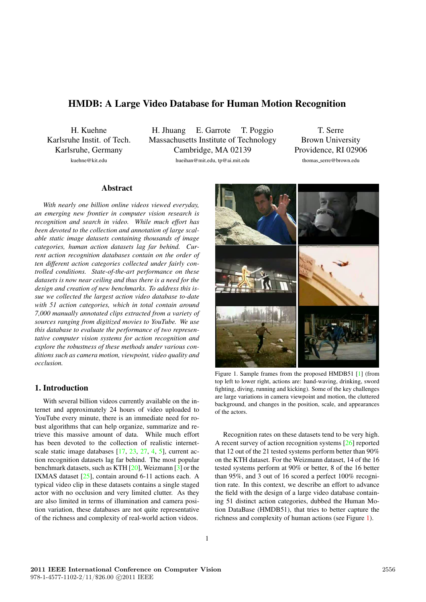# HMDB: A Large Video Database for Human Motion Recognition

H. Kuehne Karlsruhe Instit. of Tech. Karlsruhe, German y kuehne@kit.edu

H. Jhuang E. Garrote T . Poggio Massachusetts Institute of Technology Cambridge, MA 02139 hueihan@mit.edu, tp@ai.mit.edu

T . Serre Brown Uni versity Providence, RI 02906 thomas\_serre@brown.edu

# Abstract

*With nearly one billion online videos viewed everyday, an emerging ne w frontier in computer vision researc h is recognition and searc h in video. While muc h effort has been devoted t o the collection and annotation of larg e scalable static image datasets containing thousands of image categories, human action datasets la g far behind. Cur rent action recognition databases contain on the order of ten different action categories collected under fairly controlled conditions. State-of-the-art performance on these datasets is now near ceiling and thus there is a need for the design and creation of ne w benchmarks. To addres s this issue we collected the largest action video database to-date with 51 action categories, whic h in total contain around 7,000 manually annotated clips extracted from a variety of sources ranging from digitized movies to YouTube . We use this database to evaluate the performance of two representative computer vision systems for action recognition and explore the robustness of these methods under various conditions such as camera motion, viewpoint, video quality and occlusion.*

# 1. Introduction

With several billion videos currently available on the internet and approximately 24 hours of video uploaded to YouTube every minute, there is an immediate need for ro bust algorithms that can help organize, summarize and retrieve this massive amount of data. While much effort has been de voted to the collection of realistic internetscale static image databases [17, 23, 27, 4, 5], current action recognition datasets lag far behind. The most popular benchmark datasets, such as KTH [20], Weizmann [3] or the IXMAS dataset [25], contain around 6-11 actions each. A typical video clip in these datasets contains a single staged actor with no occlusion and very limited clutter. As they are also limited in terms of illumination and camera position variation, these databases are not quite representative of the richness and complexity of real-world action videos.



Figure 1. Sample frames from the proposed HMDB51 [1] (from top left to lower right, actions are: hand-w aving, drinking, sword fighting, diving, running and kicking). Some of the key challenges are large variations in camera viewpoint and motion, the cluttered background, and changes in the position, scale, and appearances of the actors.

Recognition rate s on these datasets tend to be very high. A recent survey of action recognition systems [26] reported that 12 out of the 21 tested systems perform better than 90% on the KTH dataset. For the Weizmann dataset, 14 of the 16 tested systems perform at 90% or better , 8 of the 16 better than 95%, and 3 out of 16 scored a perfect 100% recognition rate. In this context, we describe an effort to advance the field with the design of a large video database containing 51 distinct action categories, dubbed the Human Motion DataBase (HMDB51), that tries to better capture the richness and complexity of human actions (see Figure 1).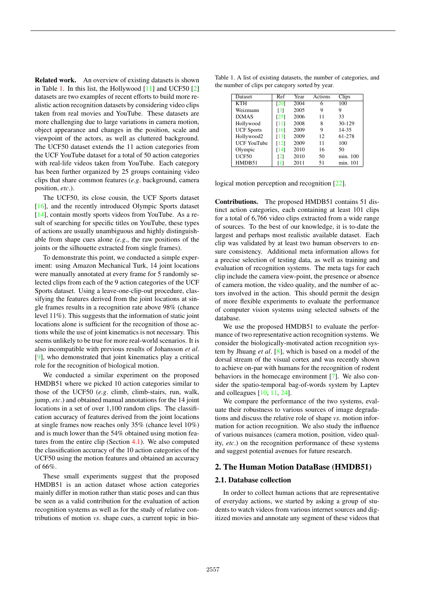Related work. An overview of existing datasets is shown in Table 1. In this list, the Hollywood [11] and UCF50 [2] datasets are two examples of recent efforts to build more realistic action recognition datasets by considering video clips taken from real movies and YouTube. These datasets are more challenging due to large variations in camera motion, object appearance and changes in the position, scale and viewpoint of the actors, as well as cluttered background. The UCF50 dataset extends the 11 action categories from the UCF YouTube dataset for a total of 50 action categories with real-life videos taken from YouTube. Each category has been further organized by 25 groups containing video clips that share common features (*e.g*. background, camera position, *etc*.).

The UCF50, its close cousin, the UCF Sports dataset [16], and the recently introduced Olympic Sports dataset [14], contain mostly sports videos from YouTube. As a result of searching for specific titles on YouTube, these types of actions are usually unambiguous and highly distinguishable from shape cues alone (*e.g*., the raw positions of the joints or the silhouette extracted from single frames).

To demonstrate this point, we conducted a simple experiment: using Amazon Mechanical Turk, 14 joint locations were manually annotated at every frame for 5 randomly selected clips from each of the 9 action categories of the UCF Sports dataset. Using a leave-one-clip-out procedure, classifying the features derived from the joint locations at single frames results in a recognition rate above 98% (chance level 11%). This suggests that the information of static joint locations alone is sufficient for the recognition of those actions while the use of joint kinematics is not necessary. This seems unlikely to be true for more real-world scenarios. It is also incompatible with previous results of Johansson *et al*. [9], who demonstrated that joint kinematics play a critical role for the recognition of biological motion.

We conducted a similar experiment on the proposed HMDB51 where we picked 10 action categories similar to those of the UCF50 (*e.g*. climb, climb-stairs, run, walk, jump, *etc*.) and obtained manual annotations for the 14 joint locations in a set of over 1,100 random clips. The classification accuracy of features derived from the joint locations at single frames now reaches only 35% (chance level 10%) and is much lower than the 54% obtained using motion features from the entire clip (Section 4.1). We also computed the classification accuracy of the 10 action categories of the UCF50 using the motion features and obtained an accuracy of 66%.

These small experiments suggest that the proposed HMDB51 is an action dataset whose action categories mainly differ in motion rather than static poses and can thus be seen as a valid contribution for the evaluation of action recognition systems as well as for the study of relative contributions of motion *vs*. shape cues, a current topic in bio-

Table 1. A list of existing datasets, the number of categories, and the number of clips per category sorted by year.

| Dataset            | Ref                | Year | Actions | Clips    |
|--------------------|--------------------|------|---------|----------|
| <b>KTH</b>         | [20]               | 2004 | 6       | 100      |
| Weizmann           | $\lceil 3 \rceil$  | 2005 | 9       | 9        |
| <b>IXMAS</b>       | [25]               | 2006 | 11      | 33       |
| Hollywood          | [11]               | 2008 | 8       | 30-129   |
| <b>UCF</b> Sports  | $\lceil 16 \rceil$ | 2009 | 9       | 14-35    |
| Hollywood2         | [13]               | 2009 | 12      | 61-278   |
| <b>UCF YouTube</b> | $\lceil 12 \rceil$ | 2009 | 11      | 100      |
| Olympic            | $\lceil 14 \rceil$ | 2010 | 16      | 50       |
| <b>UCF50</b>       | $\lceil 2 \rceil$  | 2010 | 50      | min. 100 |
| HMDB51             |                    | 2011 | 51      | min. 101 |
|                    |                    |      |         |          |

logical motion perception and recognition [22].

Contributions. The proposed HMDB51 contains 51 distinct action categories, each containing at least 101 clips for a total of 6,766 video clips extracted from a wide range of sources. To the best of our knowledge, it is to-date the largest and perhaps most realistic available dataset. Each clip was validated by at least two human observers to ensure consistency. Additional meta information allows for a precise selection of testing data, as well as training and evaluation of recognition systems. The meta tags for each clip include the camera view-point, the presence or absence of camera motion, the video quality, and the number of actors involved in the action. This should permit the design of more flexible experiments to evaluate the performance of computer vision systems using selected subsets of the database.

We use the proposed HMDB51 to evaluate the performance of two representative action recognition systems. We consider the biologically-motivated action recognition system by Jhuang *et al*. [8], which is based on a model of the dorsal stream of the visual cortex and was recently shown to achieve on-par with humans for the recognition of rodent behaviors in the homecage environment [7]. We also consider the spatio-temporal bag-of-words system by Laptev and colleagues [10, 11, 24].

We compare the performance of the two systems, evaluate their robustness to various sources of image degradations and discuss the relative role of shape *vs*. motion information for action recognition. We also study the influence of various nuisances (camera motion, position, video quality, *etc*.) on the recognition performance of these systems and suggest potential avenues for future research.

# 2. The Human Motion DataBase (HMDB51)

#### 2.1. Database collection

In order to collect human actions that are representative of everyday actions, we started by asking a group of students to watch videos from various internet sources and digitized movies and annotate any segment of these videos that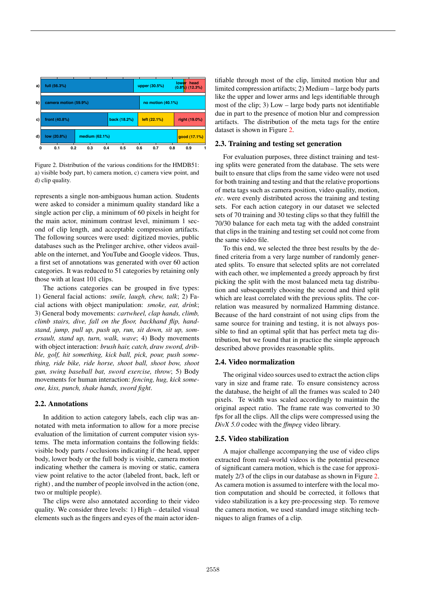

Figure 2. Distribution of the various conditions for the HMDB51: a) visible body part, b) camera motion, c) camera view point, and d) clip quality.

represents a single non-ambiguous human action. Students were asked to consider a minimum quality standard like a single action per clip, a minimum of 60 pixels in height for the main actor, minimum contrast level, minimum 1 second of clip length, and acceptable compression artifacts. The following sources were used: digitized movies, public databases such as the Prelinger archive, other videos available on the internet, and YouTube and Google videos. Thus, a first set of annotations was generated with over 60 action categories. It was reduced to 51 categories by retaining only those with at least 101 clips.

The actions categories can be grouped in five types: 1) General facial actions: *smile, laugh, chew, talk*; 2) Facial actions with object manipulation: *smoke, eat, drink*; 3) General body movements: *cartwheel, clap hands, climb, climb stairs, dive, fall on the floor, backhand flip, handstand, jump, pull up, push up, run, sit down, sit up, somersault, stand up, turn, walk, wave*; 4) Body movements with object interaction: *brush hair, catch, draw sword, dribble, golf, hit something, kick ball, pick, pour, push something, ride bike, ride horse, shoot ball, shoot bow, shoot gun, swing baseball bat, sword exercise, throw*; 5) Body movements for human interaction: *fencing, hug, kick someone, kiss, punch, shake hands, sword fight*.

# 2.2. Annotations

In addition to action category labels, each clip was annotated with meta information to allow for a more precise evaluation of the limitation of current computer vision systems. The meta information contains the following fields: visible body parts / occlusions indicating if the head, upper body, lower body or the full body is visible, camera motion indicating whether the camera is moving or static, camera view point relative to the actor (labeled front, back, left or right) , and the number of people involved in the action (one, two or multiple people).

The clips were also annotated according to their video quality. We consider three levels: 1) High – detailed visual elements such as the fingers and eyes of the main actor iden-

tifiable through most of the clip, limited motion blur and limited compression artifacts; 2) Medium – large body parts like the upper and lower arms and legs identifiable through most of the clip; 3) Low – large body parts not identifiable due in part to the presence of motion blur and compression artifacts. The distribution of the meta tags for the entire dataset is shown in Figure 2.

# 2.3. Training and testing set generation

For evaluation purposes, three distinct training and testing splits were generated from the database. The sets were built to ensure that clips from the same video were not used for both training and testing and that the relative proportions of meta tags such as camera position, video quality, motion, *etc*. were evenly distributed across the training and testing sets. For each action category in our dataset we selected sets of 70 training and 30 testing clips so that they fulfill the 70/30 balance for each meta tag with the added constraint that clips in the training and testing set could not come from the same video file.

To this end, we selected the three best results by the defined criteria from a very large number of randomly generated splits. To ensure that selected splits are not correlated with each other, we implemented a greedy approach by first picking the split with the most balanced meta tag distribution and subsequently choosing the second and third split which are least correlated with the previous splits. The correlation was measured by normalized Hamming distance. Because of the hard constraint of not using clips from the same source for training and testing, it is not always possible to find an optimal split that has perfect meta tag distribution, but we found that in practice the simple approach described above provides reasonable splits.

# 2.4. Video normalization

The original video sources used to extract the action clips vary in size and frame rate. To ensure consistency across the database, the height of all the frames was scaled to 240 pixels. Te width was scaled accordingly to maintain the original aspect ratio. The frame rate was converted to 30 fps for all the clips. All the clips were compressed using the *DivX 5.0* codec with the *ffmpeg* video library.

#### 2.5. Video stabilization

A major challenge accompanying the use of video clips extracted from real-world videos is the potential presence of significant camera motion, which is the case for approximately 2/3 of the clips in our database as shown in Figure 2. As camera motion is assumed to interfere with the local motion computation and should be corrected, it follows that video stabilization is a key pre-processing step. To remove the camera motion, we used standard image stitching techniques to align frames of a clip.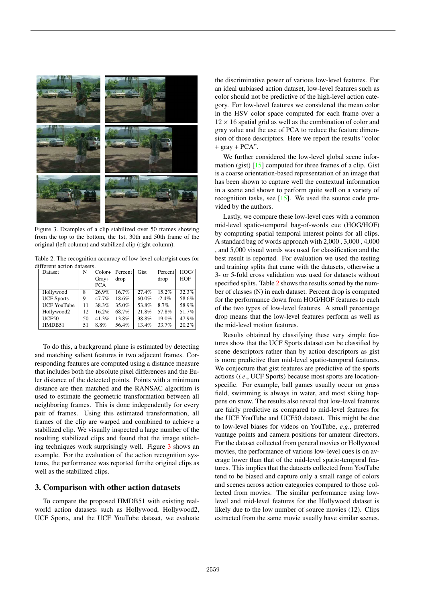

Figure 3. Examples of a clip stabilized over 50 frames showing from the top to the bottom, the 1st, 30th and 50th frame of the original (left column) and stabilized clip (right column).

Table 2. The recognition accuracy of low-level color/gist cues for different action datasets

| Dataset            | N   | $Color+$   | Percent | Gist  | Percent  | HOG/       |
|--------------------|-----|------------|---------|-------|----------|------------|
|                    |     | $Gray+$    | drop    |       | drop     | <b>HOF</b> |
|                    |     | <b>PCA</b> |         |       |          |            |
| Hollywood          | 8   | 26.9%      | 16.7%   | 27.4% | 15.2%    | 32.3%      |
| <b>UCF</b> Sports  | 9   | 47.7%      | 18.6%   | 60.0% | $-2.4\%$ | 58.6%      |
| <b>UCF YouTube</b> | 11  | 38.3%      | 35.0%   | 53.8% | 8.7%     | 58.9%      |
| Hollywood2         | 12. | 16.2%      | 68.7%   | 21.8% | 57.8%    | 51.7%      |
| UCF50              | 50  | 41.3%      | 13.8%   | 38.8% | 19.0%    | 47.9%      |
| HMDB51             | 51  | 8.8%       | 56.4%   | 13.4% | 33.7%    | 20.2%      |

To do this, a background plane is estimated by detecting and matching salient features in two adjacent frames. Corresponding features are computed using a distance measure that includes both the absolute pixel differences and the Euler distance of the detected points. Points with a minimum distance are then matched and the RANSAC algorithm is used to estimate the geometric transformation between all neighboring frames. This is done independently for every pair of frames. Using this estimated transformation, all frames of the clip are warped and combined to achieve a stabilized clip. We visually inspected a large number of the resulting stabilized clips and found that the image stitching techniques work surprisingly well. Figure 3 shows an example. For the evaluation of the action recognition systems, the performance was reported for the original clips as well as the stabilized clips.

# 3. Comparison with other action datasets

To compare the proposed HMDB51 with existing realworld action datasets such as Hollywood, Hollywood2, UCF Sports, and the UCF YouTube dataset, we evaluate

the discriminative power of various low-level features. For an ideal unbiased action dataset, low-level features such as color should not be predictive of the high-level action category. For low-level features we considered the mean color in the HSV color space computed for each frame over a  $12 \times 16$  spatial grid as well as the combination of color and gray value and the use of PCA to reduce the feature dimension of those descriptors. Here we report the results "color + gray + PCA".

We further considered the low-level global scene information (gist) [15] computed for three frames of a clip. Gist is a coarse orientation-based representation of an image that has been shown to capture well the contextual information in a scene and shown to perform quite well on a variety of recognition tasks, see [15]. We used the source code provided by the authors.

Lastly, we compare these low-level cues with a common mid-level spatio-temporal bag-of-words cue (HOG/HOF) by computing spatial temporal interest points for all clips. A standard bag of words approach with 2,000 , 3,000 , 4,000 , and 5,000 visual words was used for classification and the best result is reported. For evaluation we used the testing and training splits that came with the datasets, otherwise a 3- or 5-fold cross validation was used for datasets without specified splits. Table 2 shows the results sorted by the number of classes (N) in each dataset. Percent drop is computed for the performance down from HOG/HOF features to each of the two types of low-level features. A small percentage drop means that the low-level features perform as well as the mid-level motion features.

Results obtained by classifying these very simple features show that the UCF Sports dataset can be classified by scene descriptors rather than by action descriptors as gist is more predictive than mid-level spatio-temporal features. We conjecture that gist features are predictive of the sports actions (*i.e*., UCF Sports) because most sports are locationspecific. For example, ball games usually occur on grass field, swimming is always in water, and most skiing happens on snow. The results also reveal that low-level features are fairly predictive as compared to mid-level features for the UCF YouTube and UCF50 dataset. This might be due to low-level biases for videos on YouTube, *e.g*., preferred vantage points and camera positions for amateur directors. For the dataset collected from general movies or Hollywood movies, the performance of various low-level cues is on average lower than that of the mid-level spatio-temporal features. This implies that the datasets collected from YouTube tend to be biased and capture only a small range of colors and scenes across action categories compared to those collected from movies. The similar performance using lowlevel and mid-level features for the Hollywood dataset is likely due to the low number of source movies (12). Clips extracted from the same movie usually have similar scenes.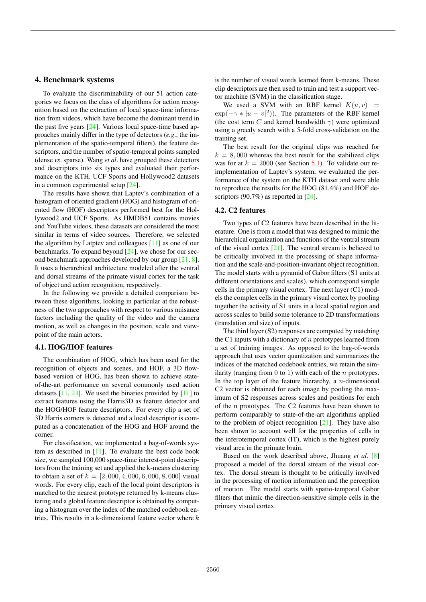#### 4. Benchmark systems

To evaluate the discriminability of our 51 action categories we focus on the class of algorithms for action recognition based on the extraction of local space-time information from videos, which have become the dominant trend in the past five years [24]. Various local space-time based approaches mainly differ in the type of detectors (*e.g*., the implementation of the spatio-temporal filters), the feature descriptors, and the number of spatio-temporal points sampled (dense *vs*. sparse). Wang *et al*. have grouped these detectors and descriptors into six types and evaluated their performance on the KTH, UCF Sports and Hollywood2 datasets in a common experimental setup [24].

The results have shown that Laptev's combination of a histogram of oriented gradient (HOG) and histogram of oriented flow (HOF) descriptors performed best for the Hollywood2 and UCF Sports. As HMDB51 contains movies and YouTube videos, these datasets are considered the most similar in terms of video sources. Therefore, we selected the algorithm by Latptev and colleagues [11] as one of our benchmarks. To expand beyond [24], we chose for our second benchmark approaches developed by our group [21, 8]. It uses a hierarchical architecture modeled after the ventral and dorsal streams of the primate visual cortex for the task of object and action recognition, respectively.

In the following we provide a detailed comparison between these algorithms, looking in particular at the robustness of the two approaches with respect to various nuisance factors including the quality of the video and the camera motion, as well as changes in the position, scale and viewpoint of the main actors.

# 4.1. HOG/HOF features

The combination of HOG, which has been used for the recognition of objects and scenes, and HOF, a 3D flowbased version of HOG, has been shown to achieve stateof-the-art performance on several commonly used action datasets  $[11, 24]$ . We used the binaries provided by  $[11]$  to extract features using the Harris3D as feature detector and the HOG/HOF feature descriptors. For every clip a set of 3D Harris corners is detected and a local descriptor is computed as a concatenation of the HOG and HOF around the corner.

For classification, we implemented a bag-of-words system as described in [11]. To evaluate the best code book size, we sampled 100,000 space-time interest-point descriptors from the training set and applied the k-means clustering to obtain a set of  $k = [2,000, 4,000, 6,000, 8,000]$  visual words. For every clip, each of the local point descriptors is matched to the nearest prototype returned by k-means clustering and a global feature descriptor is obtained by computing a histogram over the index of the matched codebook entries. This results in a k-dimensional feature vector where  $k$  is the number of visual words learned from k-means. These clip descriptors are then used to train and test a support vector machine (SVM) in the classification stage.

We used a SVM with an RBF kernel  $K(u, v)$  =  $\exp(-\gamma * |u - v|^2)$ ). The parameters of the RBF kernel (the cost term C and kernel bandwidth  $\gamma$ ) were optimized using a greedy search with a 5-fold cross-validation on the training set.

The best result for the original clips was reached for  $k = 8,000$  whereas the best result for the stabilized clips was for at  $k = 2000$  (see Section 5.1). To validate our reimplementation of Laptev's system, we evaluated the performance of the system on the KTH dataset and were able to reproduce the results for the HOG (81.4%) and HOF descriptors (90.7%) as reported in [24].

#### 4.2. C2 features

Two types of C2 features have been described in the literature. One is from a model that was designed to mimic the hierarchical organization and functions of the ventral stream of the visual cortex [21]. The ventral stream is believed to be critically involved in the processing of shape information and the scale-and-position-invariant object recognition. The model starts with a pyramid of Gabor filters (S1 units at different orientations and scales), which correspond simple cells in the primary visual cortex. The next layer (C1) models the complex cells in the primary visual cortex by pooling together the activity of S1 units in a local spatial region and across scales to build some tolerance to 2D transformations (translation and size) of inputs.

The third layer (S2) responses are computed by matching the C1 inputs with a dictionary of  $n$  prototypes learned from a set of training images. As opposed to the bag-of-words approach that uses vector quantization and summarizes the indices of the matched codebook entries, we retain the similarity (ranging from  $0$  to  $1$ ) with each of the *n* prototypes. In the top layer of the feature hierarchy, a  $n$ -dimensional C2 vector is obtained for each image by pooling the maximum of S2 responses across scales and positions for each of the n prototypes. The C2 features have been shown to perform comparably to state-of-the-art algorithms applied to the problem of object recognition  $[21]$ . They have also been shown to account well for the properties of cells in the inferotemporal cortex (IT), which is the highest purely visual area in the primate brain.

Based on the work described above, Jhuang *et al*. [8] proposed a model of the dorsal stream of the visual cortex. The dorsal stream is thought to be critically involved in the processing of motion information and the perception of motion. The model starts with spatio-temporal Gabor filters that mimic the direction-sensitive simple cells in the primary visual cortex.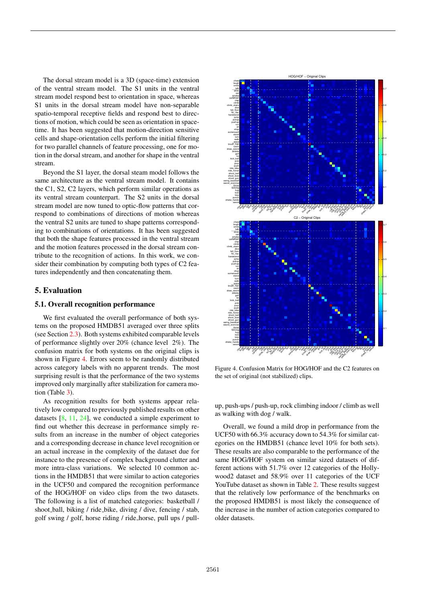The dorsal stream model is a 3D (space-time) extension of the ventral stream model. The S1 units in the ventral stream model respond best to orientation in space, whereas S1 units in the dorsal stream model have non-separable spatio-temporal receptive fields and respond best to directions of motion, which could be seen as orientation in spacetime. It has been suggested that motion-direction sensitive cells and shape-orientation cells perform the initial filtering for two parallel channels of feature processing, one for motion in the dorsal stream, and another forshape in the ventral stream.

Beyond the S1 layer, the dorsal steam model follows the same architecture as the ventral stream model. It contains the C1, S2, C2 layers, which perform similar operations as its ventral stream counterpart. The S2 units in the dorsal stream model are now tuned to optic-flow patterns that correspond to combinations of directions of motion whereas the ventral S2 units are tuned to shape patterns corresponding to combinations of orientations. It has been suggested that both the shape features processed in the ventral stream and the motion features processed in the dorsal stream contribute to the recognition of actions. In this work, we consider their combination by computing both types of C2 features independently and then concatenating them.

## 5. Evaluation

#### 5.1. Overall recognition performance

We first evaluated the overall performance of both systems on the proposed HMDB51 averaged over three splits (see Section 2.3). Both systems exhibited comparable levels of performance slightly over 20% (chance level 2%). The confusion matrix for both systems on the original clips is shown in Figure 4. Errors seem to be randomly distributed across category labels with no apparent trends. The most surprising result is that the performance of the two systems improved only marginally after stabilization for camera motion (Table 3).

As recognition results for both systems appear relatively low compared to previously published results on other datasets  $[8, 11, 24]$ , we conducted a simple experiment to find out whether this decrease in performance simply results from an increase in the number of object categories and a corresponding decrease in chance level recognition or an actual increase in the complexity of the dataset due for instance to the presence of complex background clutter and more intra-class variations. We selected 10 common actions in the HMDB51 that were similar to action categories in the UCF50 and compared the recognition performance of the HOG/HOF on video clips from the two datasets. The following is a list of matched categories: basketball / shoot ball, biking / ride bike, diving / dive, fencing / stab, golf swing / golf, horse riding / ride horse, pull ups / pull-



Figure 4. Confusion Matrix for HOG/HOF and the C2 features on the set of original (not stabilized) clips.

up, push-ups / push-up, rock climbing indoor / climb as well as walking with dog / walk.

Overall, we found a mild drop in performance from the UCF50 with 66.3% accuracy down to 54.3% for similar categories on the HMDB51 (chance level 10% for both sets). These results are also comparable to the performance of the same HOG/HOF system on similar sized datasets of different actions with 51.7% over 12 categories of the Hollywood2 dataset and 58.9% over 11 categories of the UCF YouTube dataset as shown in Table 2. These results suggest that the relatively low performance of the benchmarks on the proposed HMDB51 is most likely the consequence of the increase in the number of action categories compared to older datasets.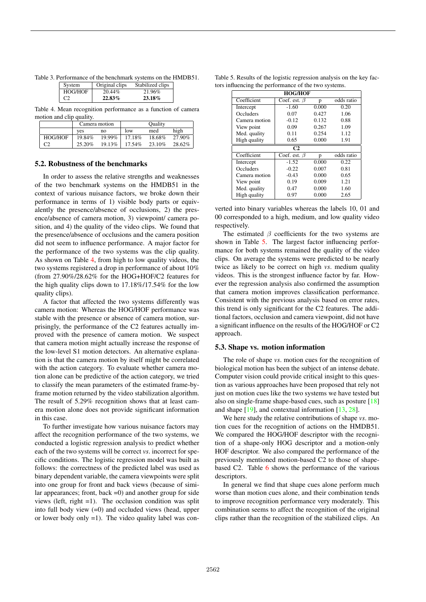Table 3. Performance of the benchmark systems on the HMDB51.

| System  | Original clips | Stabilized clips |
|---------|----------------|------------------|
| HOG/HOF | 20.44%         | 21.96%           |
| C2      | 22.83%         | 23.18%           |

Table 4. Mean recognition performance as a function of camera motion and clip quality.

|         | Camera motion |        | Ouality |        |        |
|---------|---------------|--------|---------|--------|--------|
|         | ves           | no     | low     | med    | high   |
| HOG/HOF | 19.84%        | 19.99% | 17.18%  | 18.68% | 27.90% |
|         | 25.20%        | 19.13% | 17.54%  | 23.10% | 28.62% |

#### 5.2. Robustness of the benchmarks

In order to assess the relative strengths and weaknesses of the two benchmark systems on the HMDB51 in the context of various nuisance factors, we broke down their performance in terms of 1) visible body parts or equivalently the presence/absence of occlusions, 2) the presence/absence of camera motion, 3) viewpoint/ camera position, and 4) the quality of the video clips. We found that the presence/absence of occlusions and the camera position did not seem to influence performance. A major factor for the performance of the two systems was the clip quality. As shown on Table 4, from high to low quality videos, the two systems registered a drop in performance of about 10% (from 27.90%/28.62% for the HOG+HOF/C2 features for the high quality clips down to 17.18%/17.54% for the low quality clips).

A factor that affected the two systems differently was camera motion: Whereas the HOG/HOF performance was stable with the presence or absence of camera motion, surprisingly, the performance of the C2 features actually improved with the presence of camera motion. We suspect that camera motion might actually increase the response of the low-level S1 motion detectors. An alternative explanation is that the camera motion by itself might be correlated with the action category. To evaluate whether camera motion alone can be predictive of the action category, we tried to classify the mean parameters of the estimated frame-byframe motion returned by the video stabilization algorithm. The result of 5.29% recognition shows that at least camera motion alone does not provide significant information in this case.

To further investigate how various nuisance factors may affect the recognition performance of the two systems, we conducted a logistic regression analysis to predict whether each of the two systems will be correct *vs*. incorrect for specific conditions. The logistic regression model was built as follows: the correctness of the predicted label was used as binary dependent variable, the camera viewpoints were split into one group for front and back views (because of similar appearances; front, back =0) and another group for side views (left, right =1). The occlusion condition was split into full body view  $(=0)$  and occluded views (head, upper or lower body only  $=1$ ). The video quality label was con-

|  |  | Table 5. Results of the logistic regression analysis on the key fac- |  |  |
|--|--|----------------------------------------------------------------------|--|--|
|  |  | tors influencing the performance of the two systems.                 |  |  |

| <b>HOG/HOF</b> |                    |       |            |  |  |
|----------------|--------------------|-------|------------|--|--|
| Coefficient    | Coef. est. $\beta$ | p     | odds ratio |  |  |
| Intercept      | $-1.60$            | 0.000 | 0.20       |  |  |
| Occluders      | 0.07               | 0.427 | 1.06       |  |  |
| Camera motion  | $-0.12$            | 0.132 | 0.88       |  |  |
| View point     | 0.09               | 0.267 | 1.09       |  |  |
| Med. quality   | 0.11               | 0.254 | 1.12       |  |  |
| High quality   | 0.65               | 0.000 | 1.91       |  |  |
|                | C <sub>2</sub>     |       |            |  |  |
| Coefficient    | Coef. est. $\beta$ | p     | odds ratio |  |  |
| Intercept      | $-1.52$            | 0.000 | 0.22       |  |  |
| Occluders      | $-0.22$            | 0.007 | 0.81       |  |  |
| Camera motion  | $-0.43$            | 0.000 | 0.65       |  |  |
|                |                    |       |            |  |  |
| View point     | 0.19               | 0.009 | 1.21       |  |  |
| Med. quality   | 0.47               | 0.000 | 1.60       |  |  |

verted into binary variables whereas the labels 10, 01 and 00 corresponded to a high, medium, and low quality video respectively.

The estimated  $\beta$  coefficients for the two systems are shown in Table 5. The largest factor influencing performance for both systems remained the quality of the video clips. On average the systems were predicted to be nearly twice as likely to be correct on high *vs*. medium quality videos. This is the strongest influence factor by far. However the regression analysis also confirmed the assumption that camera motion improves classification performance. Consistent with the previous analysis based on error rates, this trend is only significant for the C2 features. The additional factors, occlusion and camera viewpoint, did not have a significant influence on the results of the HOG/HOF or C2 approach.

### 5.3. Shape vs. motion information

The role of shape *vs*. motion cues for the recognition of biological motion has been the subject of an intense debate. Computer vision could provide critical insight to this question as various approaches have been proposed that rely not just on motion cues like the two systems we have tested but also on single-frame shape-based cues, such as posture [18] and shape [19], and contextual information [13, 28].

We here study the relative contributions of shape *vs*. motion cues for the recognition of actions on the HMDB51. We compared the HOG/HOF descriptor with the recognition of a shape-only HOG descriptor and a motion-only HOF descriptor. We also compared the performance of the previously mentioned motion-based C2 to those of shapebased C2. Table 6 shows the performance of the various descriptors.

In general we find that shape cues alone perform much worse than motion cues alone, and their combination tends to improve recognition performance very moderately. This combination seems to affect the recognition of the original clips rather than the recognition of the stabilized clips. An